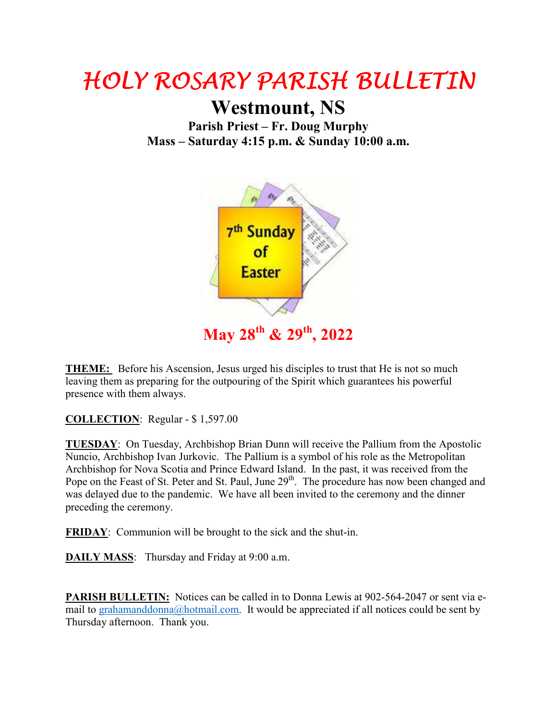## HOLY ROSARY PARISH BULLETIN HOLY ROSARY PARISH BULLETIN

**Westmount, NS**

**Parish Priest – Fr. Doug Murphy Mass – Saturday 4:15 p.m. & Sunday 10:00 a.m.** 



**THEME:** Before his Ascension, Jesus urged his disciples to trust that He is not so much leaving them as preparing for the outpouring of the Spirit which guarantees his powerful presence with them always.

**COLLECTION**: Regular - \$ 1,597.00

**TUESDAY**: On Tuesday, Archbishop Brian Dunn will receive the Pallium from the Apostolic Nuncio, Archbishop Ivan Jurkovic. The Pallium is a symbol of his role as the Metropolitan Archbishop for Nova Scotia and Prince Edward Island. In the past, it was received from the Pope on the Feast of St. Peter and St. Paul, June 29<sup>th</sup>. The procedure has now been changed and was delayed due to the pandemic. We have all been invited to the ceremony and the dinner preceding the ceremony.

**FRIDAY**: Communion will be brought to the sick and the shut-in.

**DAILY MASS**: Thursday and Friday at 9:00 a.m.

**PARISH BULLETIN:** Notices can be called in to Donna Lewis at 902-564-2047 or sent via email to grahamanddonna@hotmail.com. It would be appreciated if all notices could be sent by Thursday afternoon. Thank you.